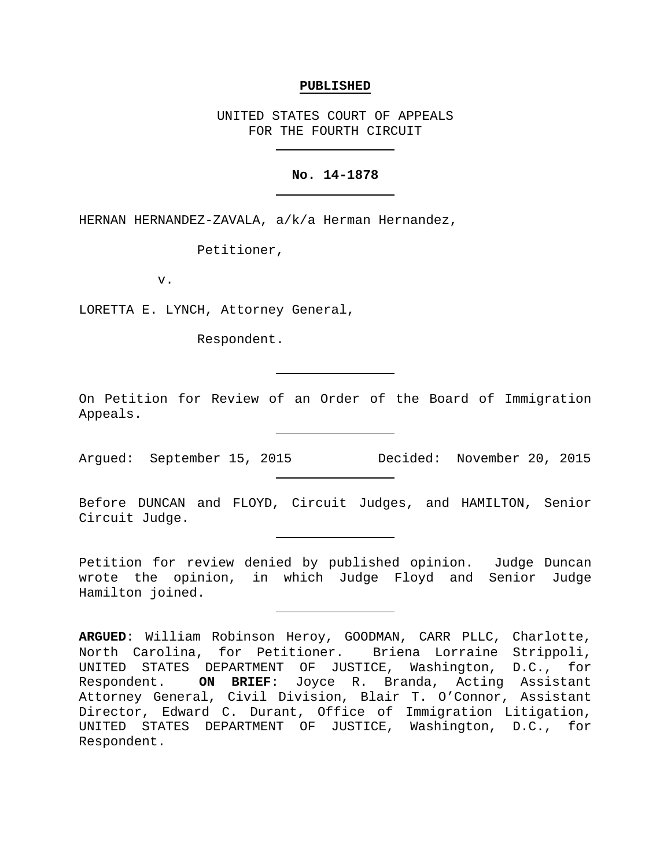#### **PUBLISHED**

UNITED STATES COURT OF APPEALS FOR THE FOURTH CIRCUIT

## **No. 14-1878**

HERNAN HERNANDEZ-ZAVALA, a/k/a Herman Hernandez,

Petitioner,

v.

LORETTA E. LYNCH, Attorney General,

Respondent.

On Petition for Review of an Order of the Board of Immigration Appeals.

Argued: September 15, 2015 Decided: November 20, 2015

Before DUNCAN and FLOYD, Circuit Judges, and HAMILTON, Senior Circuit Judge.

Petition for review denied by published opinion. Judge Duncan wrote the opinion, in which Judge Floyd and Senior Judge Hamilton joined.

**ARGUED**: William Robinson Heroy, GOODMAN, CARR PLLC, Charlotte, North Carolina, for Petitioner. Briena Lorraine Strippoli, UNITED STATES DEPARTMENT OF JUSTICE, Washington, D.C., for<br>Respondent. ON BRIEF: Joyce R. Branda, Acting Assistant ON BRIEF: Joyce R. Branda, Acting Assistant Attorney General, Civil Division, Blair T. O'Connor, Assistant Director, Edward C. Durant, Office of Immigration Litigation, UNITED STATES DEPARTMENT OF JUSTICE, Washington, D.C., for Respondent.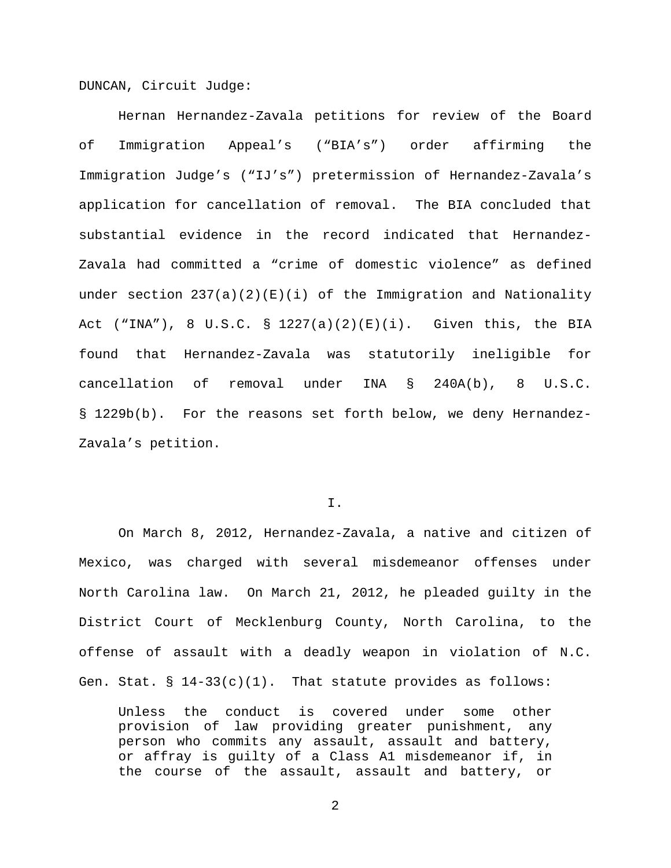DUNCAN, Circuit Judge:

Hernan Hernandez-Zavala petitions for review of the Board of Immigration Appeal's ("BIA's") order affirming the Immigration Judge's ("IJ's") pretermission of Hernandez-Zavala's application for cancellation of removal. The BIA concluded that substantial evidence in the record indicated that Hernandez-Zavala had committed a "crime of domestic violence" as defined under section  $237(a)(2)(E)(i)$  of the Immigration and Nationality Act ("INA"), 8 U.S.C. § 1227(a)(2)(E)(i). Given this, the BIA found that Hernandez-Zavala was statutorily ineligible for cancellation of removal under INA § 240A(b), 8 U.S.C. § 1229b(b). For the reasons set forth below, we deny Hernandez-Zavala's petition.

I.

On March 8, 2012, Hernandez-Zavala, a native and citizen of Mexico, was charged with several misdemeanor offenses under North Carolina law. On March 21, 2012, he pleaded guilty in the District Court of Mecklenburg County, North Carolina, to the offense of assault with a deadly weapon in violation of N.C. Gen. Stat.  $\S 14-33(c)(1)$ . That statute provides as follows:

Unless the conduct is covered under some other provision of law providing greater punishment, any person who commits any assault, assault and battery, or affray is guilty of a Class A1 misdemeanor if, in the course of the assault, assault and battery, or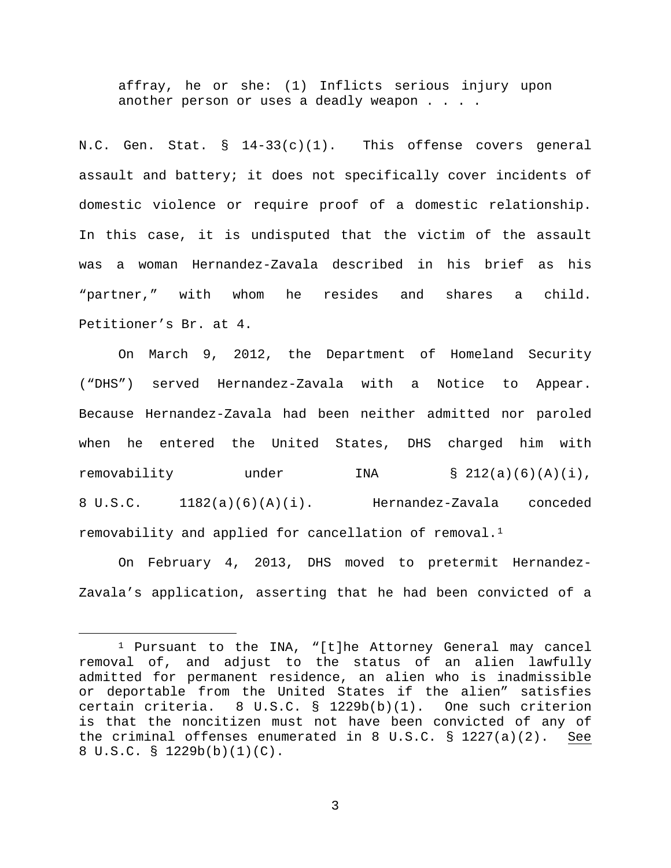affray, he or she: (1) Inflicts serious injury upon another person or uses a deadly weapon . . . .

N.C. Gen. Stat.  $\S$  14-33(c)(1). This offense covers general assault and battery; it does not specifically cover incidents of domestic violence or require proof of a domestic relationship. In this case, it is undisputed that the victim of the assault was a woman Hernandez-Zavala described in his brief as his "partner," with whom he resides and shares a child. Petitioner's Br. at 4.

On March 9, 2012, the Department of Homeland Security ("DHS") served Hernandez-Zavala with a Notice to Appear. Because Hernandez-Zavala had been neither admitted nor paroled when he entered the United States, DHS charged him with removability under INA § 212(a)(6)(A)(i), 8 U.S.C. 1182(a)(6)(A)(i). Hernandez-Zavala conceded removability and applied for cancellation of removal.<sup>[1](#page-2-0)</sup>

On February 4, 2013, DHS moved to pretermit Hernandez-Zavala's application, asserting that he had been convicted of a

<span id="page-2-0"></span> <sup>1</sup> Pursuant to the INA, "[t]he Attorney General may cancel removal of, and adjust to the status of an alien lawfully admitted for permanent residence, an alien who is inadmissible or deportable from the United States if the alien" satisfies<br>certain criteria. 8 U.S.C. § 1229b(b)(1). One such criterion  $8 \text{ U.S.C. }$   $\frac{1229b(b)(1)}{1}$ . One such criterion is that the noncitizen must not have been convicted of any of the criminal offenses enumerated in 8 U.S.C. § 1227(a)(2). See 8 U.S.C. § 1229b(b)(1)(C).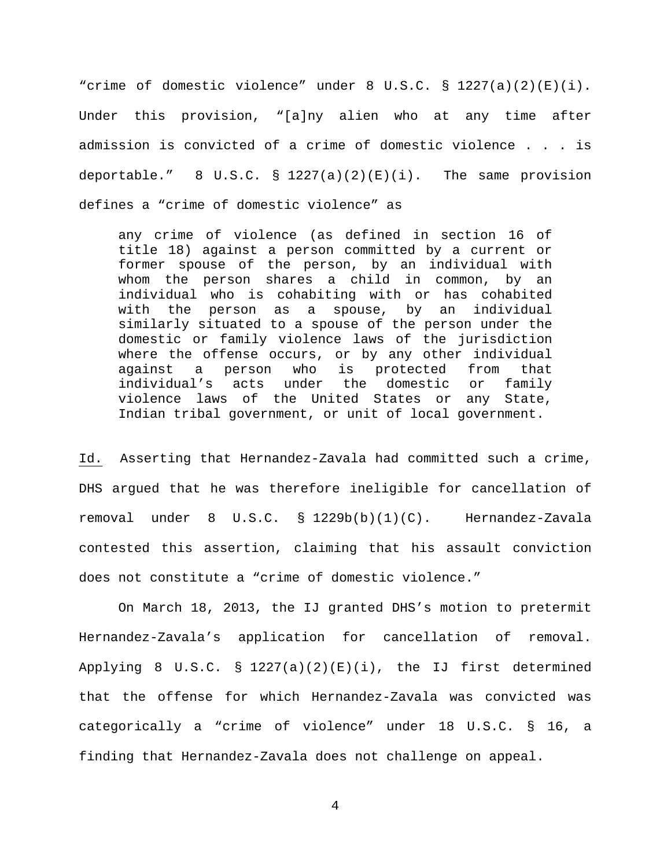"crime of domestic violence" under 8 U.S.C. § 1227(a)(2)(E)(i). Under this provision, "[a]ny alien who at any time after admission is convicted of a crime of domestic violence . . . is deportable."  $8 \text{ U.S.C. } \frac{1227(a)(2)(E)(i)}{E(i)}$ . The same provision defines a "crime of domestic violence" as

any crime of violence (as defined in section 16 of title 18) against a person committed by a current or former spouse of the person, by an individual with whom the person shares a child in common, by an individual who is cohabiting with or has cohabited with the person as a spouse, by an individual similarly situated to a spouse of the person under the domestic or family violence laws of the jurisdiction where the offense occurs, or by any other individual<br>against a person who is protected from that against a person who is protected from that individual's acts under the domestic or family violence laws of the United States or any State, Indian tribal government, or unit of local government.

Id. Asserting that Hernandez-Zavala had committed such a crime, DHS argued that he was therefore ineligible for cancellation of removal under 8 U.S.C. § 1229b(b)(1)(C). Hernandez-Zavala contested this assertion, claiming that his assault conviction does not constitute a "crime of domestic violence."

On March 18, 2013, the IJ granted DHS's motion to pretermit Hernandez-Zavala's application for cancellation of removal. Applying 8 U.S.C. § 1227(a)(2)(E)(i), the IJ first determined that the offense for which Hernandez-Zavala was convicted was categorically a "crime of violence" under 18 U.S.C. § 16, a finding that Hernandez-Zavala does not challenge on appeal.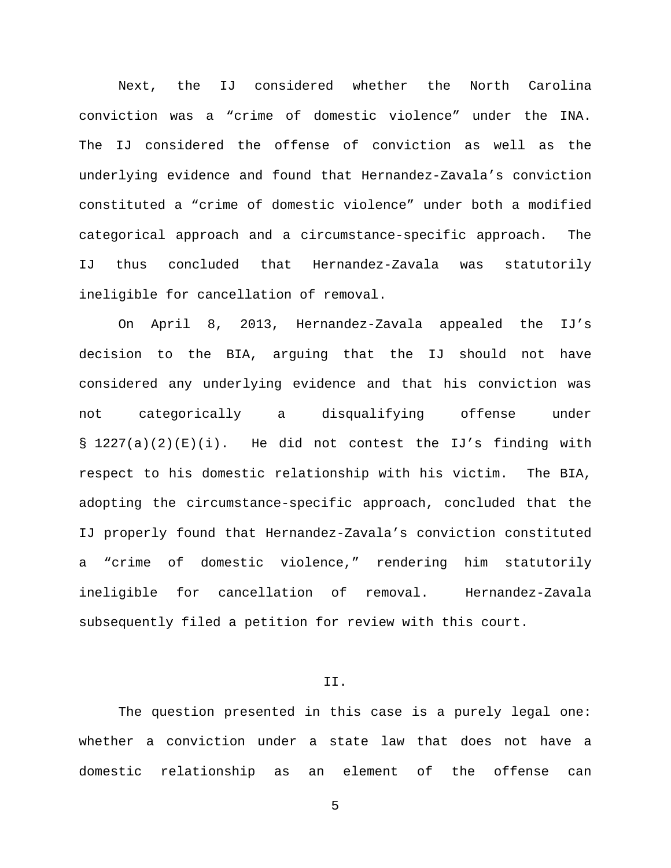Next, the IJ considered whether the North Carolina conviction was a "crime of domestic violence" under the INA. The IJ considered the offense of conviction as well as the underlying evidence and found that Hernandez-Zavala's conviction constituted a "crime of domestic violence" under both a modified categorical approach and a circumstance-specific approach. The IJ thus concluded that Hernandez-Zavala was statutorily ineligible for cancellation of removal.

On April 8, 2013, Hernandez-Zavala appealed the IJ's decision to the BIA, arguing that the IJ should not have considered any underlying evidence and that his conviction was not categorically a disqualifying offense under § 1227(a)(2)(E)(i). He did not contest the IJ's finding with respect to his domestic relationship with his victim. The BIA, adopting the circumstance-specific approach, concluded that the IJ properly found that Hernandez-Zavala's conviction constituted a "crime of domestic violence," rendering him statutorily ineligible for cancellation of removal. Hernandez-Zavala subsequently filed a petition for review with this court.

# II.

The question presented in this case is a purely legal one: whether a conviction under a state law that does not have a domestic relationship as an element of the offense can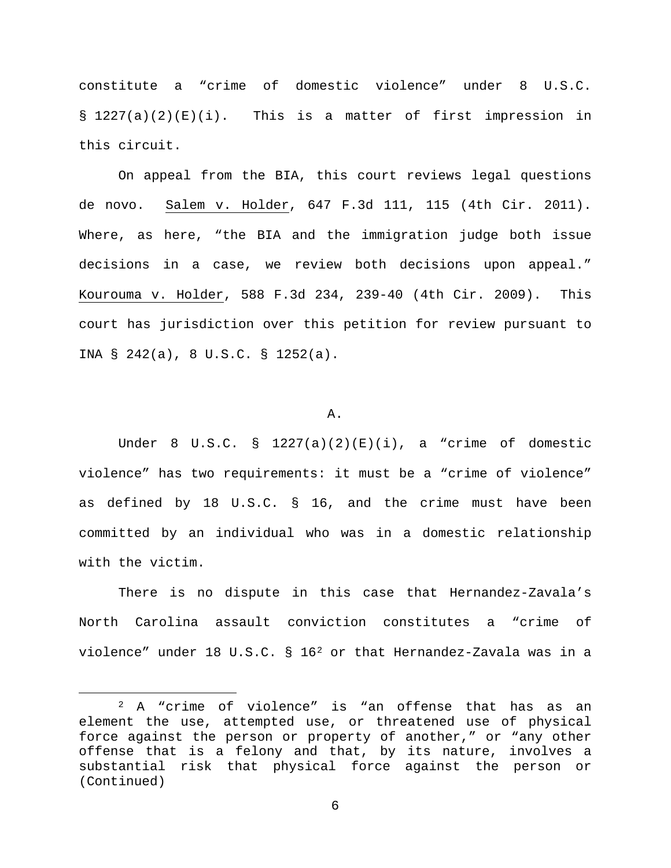constitute a "crime of domestic violence" under 8 U.S.C.  $\S$  1227(a)(2)(E)(i). This is a matter of first impression in this circuit.

On appeal from the BIA, this court reviews legal questions de novo. Salem v. Holder, 647 F.3d 111, 115 (4th Cir. 2011). Where, as here, "the BIA and the immigration judge both issue decisions in a case, we review both decisions upon appeal." Kourouma v. Holder, 588 F.3d 234, 239-40 (4th Cir. 2009). This court has jurisdiction over this petition for review pursuant to INA § 242(a), 8 U.S.C. § 1252(a).

#### A.

Under 8 U.S.C. §  $1227(a)(2)(E)(i)$ , a "crime of domestic violence" has two requirements: it must be a "crime of violence" as defined by 18 U.S.C. § 16, and the crime must have been committed by an individual who was in a domestic relationship with the victim.

There is no dispute in this case that Hernandez-Zavala's North Carolina assault conviction constitutes a "crime of violence" under 18 U.S.C.  $\S$  16<sup>[2](#page-5-0)</sup> or that Hernandez-Zavala was in a

<span id="page-5-0"></span> <sup>2</sup> A "crime of violence" is "an offense that has as an element the use, attempted use, or threatened use of physical force against the person or property of another," or "any other offense that is a felony and that, by its nature, involves a substantial risk that physical force against the person or (Continued)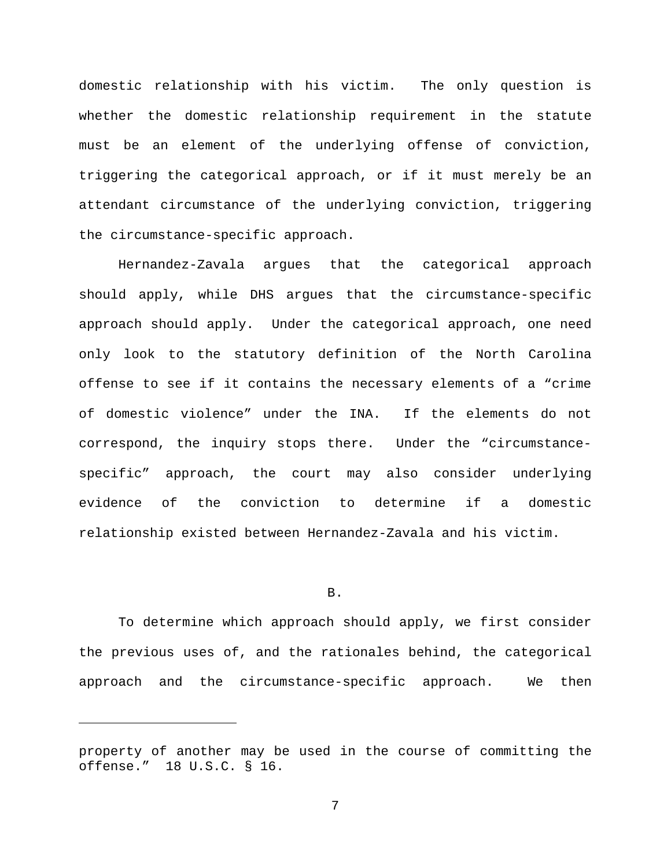domestic relationship with his victim. The only question is whether the domestic relationship requirement in the statute must be an element of the underlying offense of conviction, triggering the categorical approach, or if it must merely be an attendant circumstance of the underlying conviction, triggering the circumstance-specific approach.

Hernandez-Zavala argues that the categorical approach should apply, while DHS argues that the circumstance-specific approach should apply. Under the categorical approach, one need only look to the statutory definition of the North Carolina offense to see if it contains the necessary elements of a "crime of domestic violence" under the INA. If the elements do not correspond, the inquiry stops there. Under the "circumstancespecific" approach, the court may also consider underlying evidence of the conviction to determine if a domestic relationship existed between Hernandez-Zavala and his victim.

### B.

To determine which approach should apply, we first consider the previous uses of, and the rationales behind, the categorical approach and the circumstance-specific approach. We then

Ĩ.

property of another may be used in the course of committing the offense." 18 U.S.C. § 16.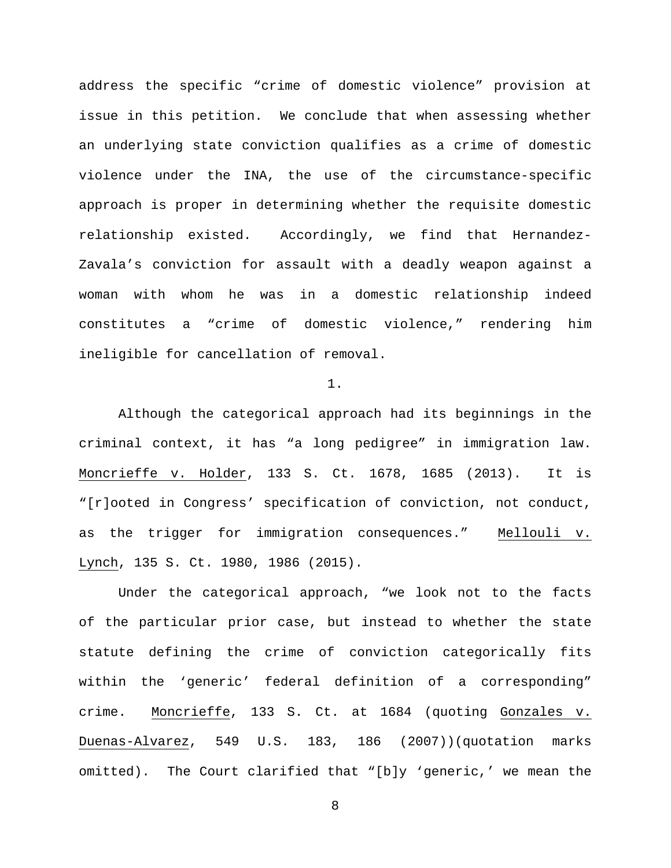address the specific "crime of domestic violence" provision at issue in this petition. We conclude that when assessing whether an underlying state conviction qualifies as a crime of domestic violence under the INA, the use of the circumstance-specific approach is proper in determining whether the requisite domestic relationship existed. Accordingly, we find that Hernandez-Zavala's conviction for assault with a deadly weapon against a woman with whom he was in a domestic relationship indeed constitutes a "crime of domestic violence," rendering him ineligible for cancellation of removal.

1.

Although the categorical approach had its beginnings in the criminal context, it has "a long pedigree" in immigration law. Moncrieffe v. Holder, 133 S. Ct. 1678, 1685 (2013). It is "[r]ooted in Congress' specification of conviction, not conduct, as the trigger for immigration consequences." Mellouli v. Lynch, 135 S. Ct. 1980, 1986 (2015).

Under the categorical approach, "we look not to the facts of the particular prior case, but instead to whether the state statute defining the crime of conviction categorically fits within the 'generic' federal definition of a corresponding" crime. Moncrieffe, 133 S. Ct. at 1684 (quoting Gonzales v. Duenas-Alvarez, 549 U.S. 183, 186 (2007))(quotation marks omitted). The Court clarified that "[b]y 'generic,' we mean the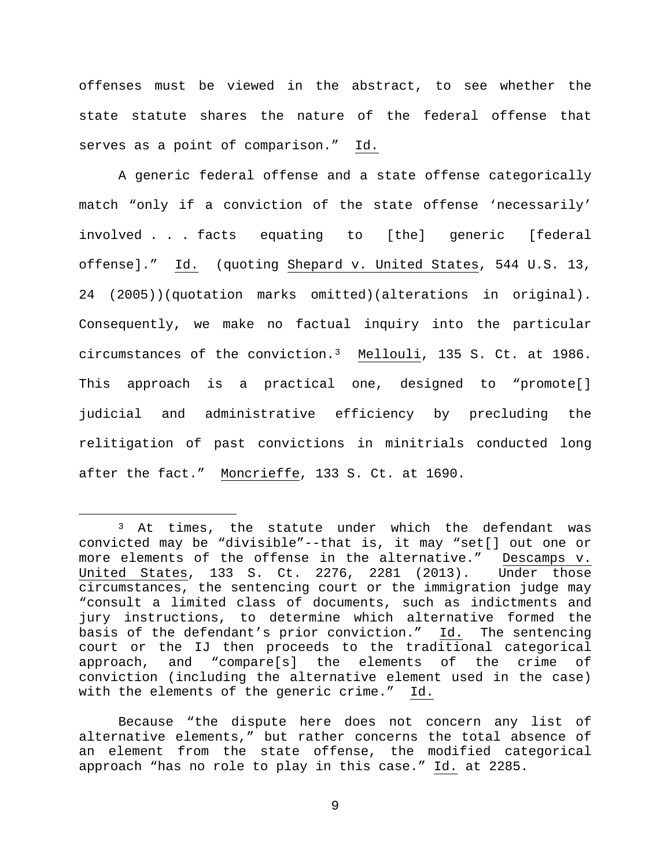offenses must be viewed in the abstract, to see whether the state statute shares the nature of the federal offense that serves as a point of comparison." Id.

A generic federal offense and a state offense categorically match "only if a conviction of the state offense 'necessarily' involved . . . facts equating to [the] generic [federal offense]." Id. (quoting Shepard v. United States, 544 U.S. 13, 24 (2005))(quotation marks omitted)(alterations in original). Consequently, we make no factual inquiry into the particular circumstances of the conviction.[3](#page-8-0) Mellouli, 135 S. Ct. at 1986. This approach is a practical one, designed to "promote[] judicial and administrative efficiency by precluding the relitigation of past convictions in minitrials conducted long after the fact." Moncrieffe, 133 S. Ct. at 1690.

Because "the dispute here does not concern any list of alternative elements," but rather concerns the total absence of an element from the state offense, the modified categorical approach "has no role to play in this case." Id. at 2285.

<span id="page-8-0"></span><sup>&</sup>lt;sup>3</sup> At times, the statute under which the defendant was convicted may be "divisible"--that is, it may "set[] out one or more elements of the offense in the alternative." Descamps v.<br>United States, 133 S. Ct. 2276, 2281 (2013). Under those United States, 133 S. Ct. 2276, 2281 (2013). circumstances, the sentencing court or the immigration judge may "consult a limited class of documents, such as indictments and jury instructions, to determine which alternative formed the basis of the defendant's prior conviction." Id. The sentencing court or the IJ then proceeds to the traditional categorical approach, and "compare[s] the elements of the crime of conviction (including the alternative element used in the case) with the elements of the generic crime." Id.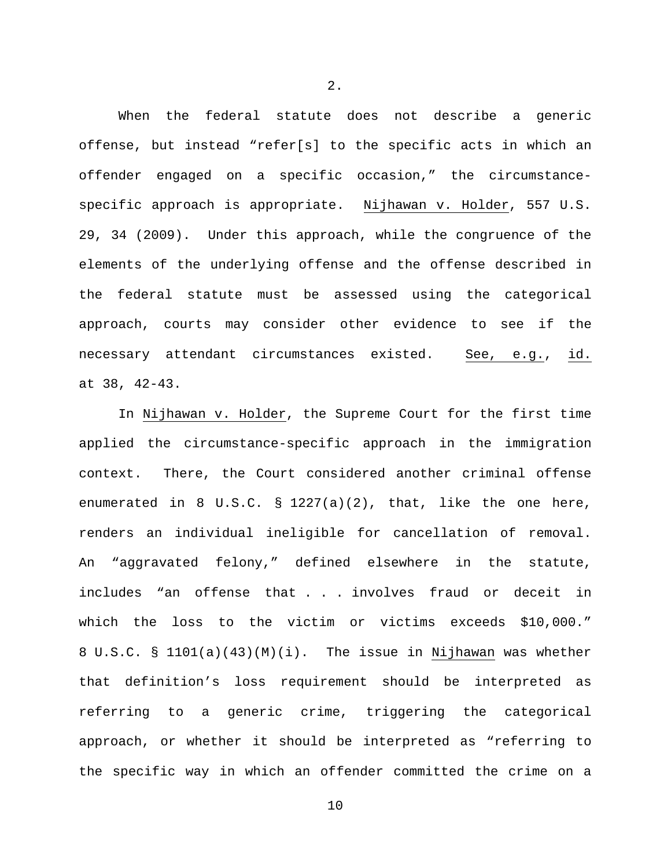When the federal statute does not describe a generic offense, but instead "refer[s] to the specific acts in which an offender engaged on a specific occasion," the circumstancespecific approach is appropriate. Nijhawan v. Holder, 557 U.S. 29, 34 (2009). Under this approach, while the congruence of the elements of the underlying offense and the offense described in the federal statute must be assessed using the categorical approach, courts may consider other evidence to see if the necessary attendant circumstances existed. See, e.g., id. at 38, 42-43.

In Nijhawan v. Holder, the Supreme Court for the first time applied the circumstance-specific approach in the immigration context. There, the Court considered another criminal offense enumerated in 8 U.S.C.  $\S$  1227(a)(2), that, like the one here, renders an individual ineligible for cancellation of removal. An "aggravated felony," defined elsewhere in the statute, includes "an offense that . . . involves fraud or deceit in which the loss to the victim or victims exceeds \$10,000." 8 U.S.C. § 1101(a)(43)(M)(i). The issue in Nijhawan was whether that definition's loss requirement should be interpreted as referring to a generic crime, triggering the categorical approach, or whether it should be interpreted as "referring to the specific way in which an offender committed the crime on a

2.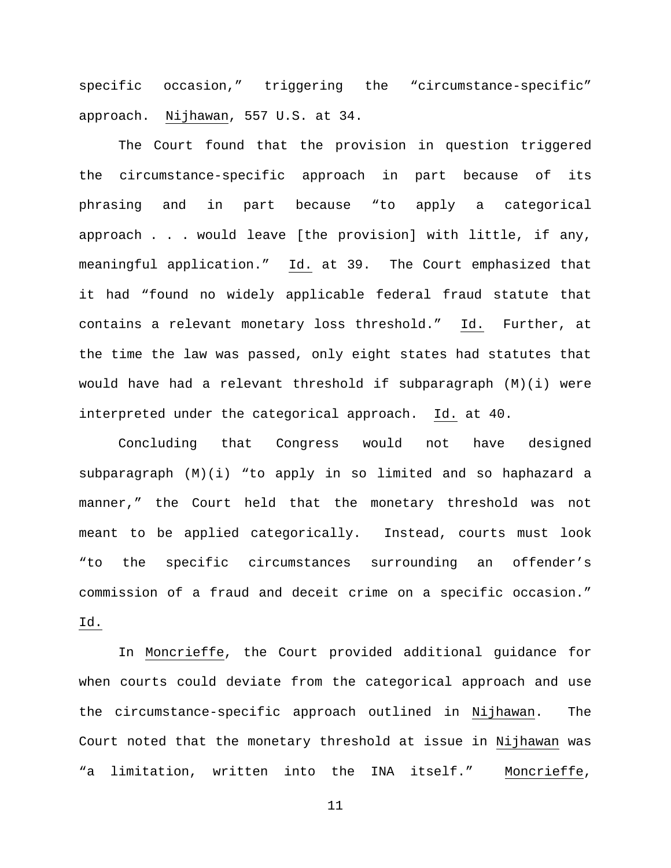specific occasion," triggering the "circumstance-specific" approach. Nijhawan, 557 U.S. at 34.

The Court found that the provision in question triggered the circumstance-specific approach in part because of its phrasing and in part because "to apply a categorical approach . . . would leave [the provision] with little, if any, meaningful application." Id. at 39. The Court emphasized that it had "found no widely applicable federal fraud statute that contains a relevant monetary loss threshold." Id. Further, at the time the law was passed, only eight states had statutes that would have had a relevant threshold if subparagraph (M)(i) were interpreted under the categorical approach. Id. at 40.

Concluding that Congress would not have designed subparagraph (M)(i) "to apply in so limited and so haphazard a manner," the Court held that the monetary threshold was not meant to be applied categorically. Instead, courts must look "to the specific circumstances surrounding an offender's commission of a fraud and deceit crime on a specific occasion." Id.

In Moncrieffe, the Court provided additional guidance for when courts could deviate from the categorical approach and use the circumstance-specific approach outlined in Nijhawan. The Court noted that the monetary threshold at issue in Nijhawan was "a limitation, written into the INA itself." Moncrieffe,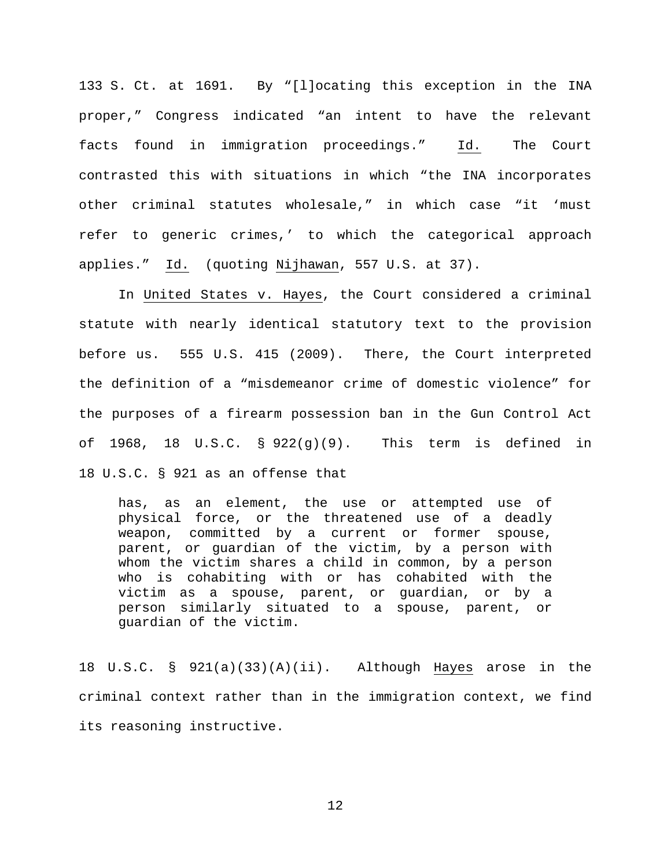133 S. Ct. at 1691. By "[l]ocating this exception in the INA proper," Congress indicated "an intent to have the relevant facts found in immigration proceedings." Id. The Court contrasted this with situations in which "the INA incorporates other criminal statutes wholesale," in which case "it 'must refer to generic crimes,' to which the categorical approach applies." Id. (quoting Nijhawan, 557 U.S. at 37).

In United States v. Hayes, the Court considered a criminal statute with nearly identical statutory text to the provision before us. 555 U.S. 415 (2009). There, the Court interpreted the definition of a "misdemeanor crime of domestic violence" for the purposes of a firearm possession ban in the Gun Control Act of 1968, 18 U.S.C. §  $922(g)(9)$ . This term is defined in 18 U.S.C. § 921 as an offense that

has, as an element, the use or attempted use of physical force, or the threatened use of a deadly weapon, committed by a current or former spouse, parent, or guardian of the victim, by a person with whom the victim shares a child in common, by a person who is cohabiting with or has cohabited with the victim as a spouse, parent, or guardian, or by a person similarly situated to a spouse, parent, or guardian of the victim.

18 U.S.C. § 921(a)(33)(A)(ii). Although Hayes arose in the criminal context rather than in the immigration context, we find its reasoning instructive.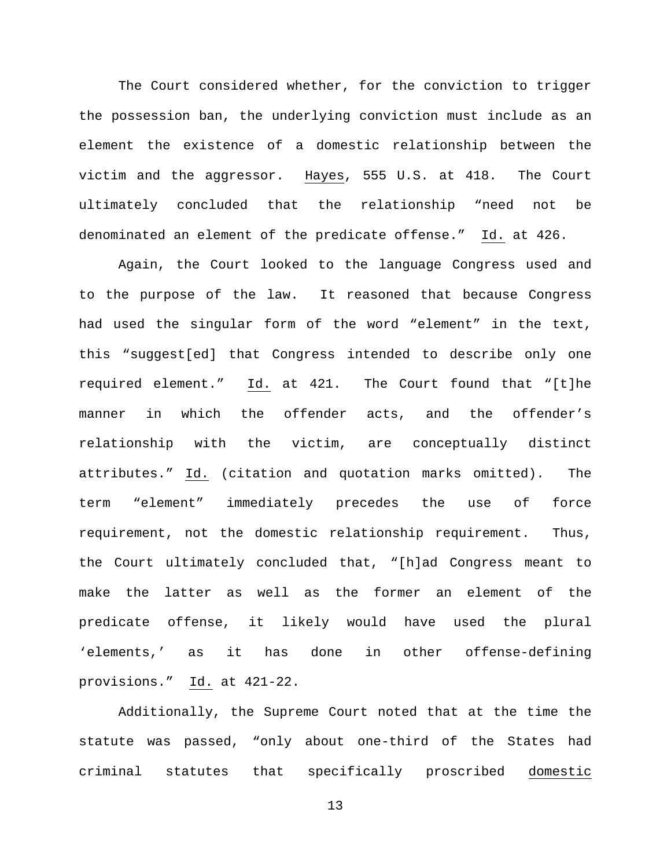The Court considered whether, for the conviction to trigger the possession ban, the underlying conviction must include as an element the existence of a domestic relationship between the victim and the aggressor. Hayes, 555 U.S. at 418. The Court ultimately concluded that the relationship "need not be denominated an element of the predicate offense." Id. at 426.

Again, the Court looked to the language Congress used and to the purpose of the law. It reasoned that because Congress had used the singular form of the word "element" in the text, this "suggest[ed] that Congress intended to describe only one required element." Id. at 421. The Court found that "[t]he manner in which the offender acts, and the offender's relationship with the victim, are conceptually distinct attributes." Id. (citation and quotation marks omitted). The term "element" immediately precedes the use of force requirement, not the domestic relationship requirement. Thus, the Court ultimately concluded that, "[h]ad Congress meant to make the latter as well as the former an element of the predicate offense, it likely would have used the plural 'elements,' as it has done in other offense-defining provisions." Id. at 421-22.

Additionally, the Supreme Court noted that at the time the statute was passed, "only about one-third of the States had criminal statutes that specifically proscribed domestic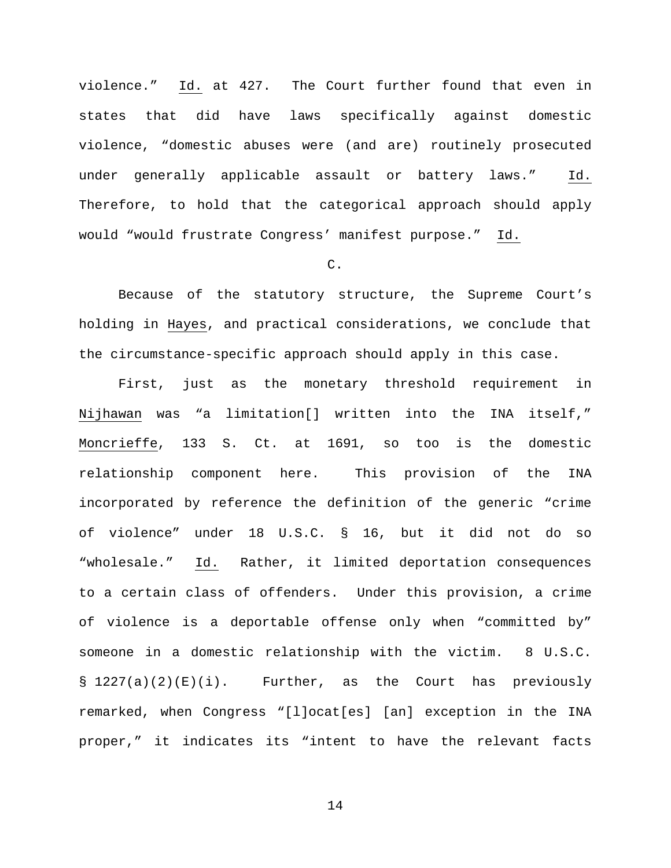violence." Id. at 427. The Court further found that even in states that did have laws specifically against domestic violence, "domestic abuses were (and are) routinely prosecuted under generally applicable assault or battery laws." Id. Therefore, to hold that the categorical approach should apply would "would frustrate Congress' manifest purpose." Id.

## $C<sub>1</sub>$

Because of the statutory structure, the Supreme Court's holding in Hayes, and practical considerations, we conclude that the circumstance-specific approach should apply in this case.

First, just as the monetary threshold requirement in Nijhawan was "a limitation[] written into the INA itself," Moncrieffe, 133 S. Ct. at 1691, so too is the domestic relationship component here. This provision of the INA incorporated by reference the definition of the generic "crime of violence" under 18 U.S.C. § 16, but it did not do so "wholesale." Id. Rather, it limited deportation consequences to a certain class of offenders. Under this provision, a crime of violence is a deportable offense only when "committed by" someone in a domestic relationship with the victim. 8 U.S.C.  $\S$  1227(a)(2)(E)(i). Further, as the Court has previously remarked, when Congress "[l]ocat[es] [an] exception in the INA proper," it indicates its "intent to have the relevant facts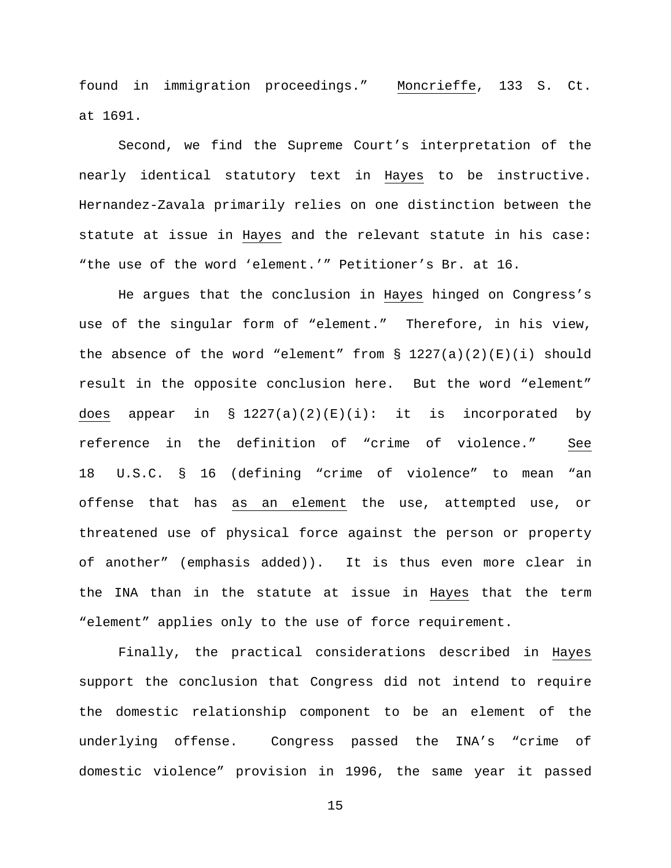found in immigration proceedings." Moncrieffe, 133 S. Ct. at 1691.

Second, we find the Supreme Court's interpretation of the nearly identical statutory text in Hayes to be instructive. Hernandez-Zavala primarily relies on one distinction between the statute at issue in Hayes and the relevant statute in his case: "the use of the word 'element.'" Petitioner's Br. at 16.

He argues that the conclusion in Hayes hinged on Congress's use of the singular form of "element." Therefore, in his view, the absence of the word "element" from  $\S$  1227(a)(2)(E)(i) should result in the opposite conclusion here. But the word "element" does appear in § 1227(a)(2)(E)(i): it is incorporated by reference in the definition of "crime of violence." See 18 U.S.C. § 16 (defining "crime of violence" to mean "an offense that has as an element the use, attempted use, or threatened use of physical force against the person or property of another" (emphasis added)). It is thus even more clear in the INA than in the statute at issue in Hayes that the term "element" applies only to the use of force requirement.

Finally, the practical considerations described in Hayes support the conclusion that Congress did not intend to require the domestic relationship component to be an element of the underlying offense. Congress passed the INA's "crime of domestic violence" provision in 1996, the same year it passed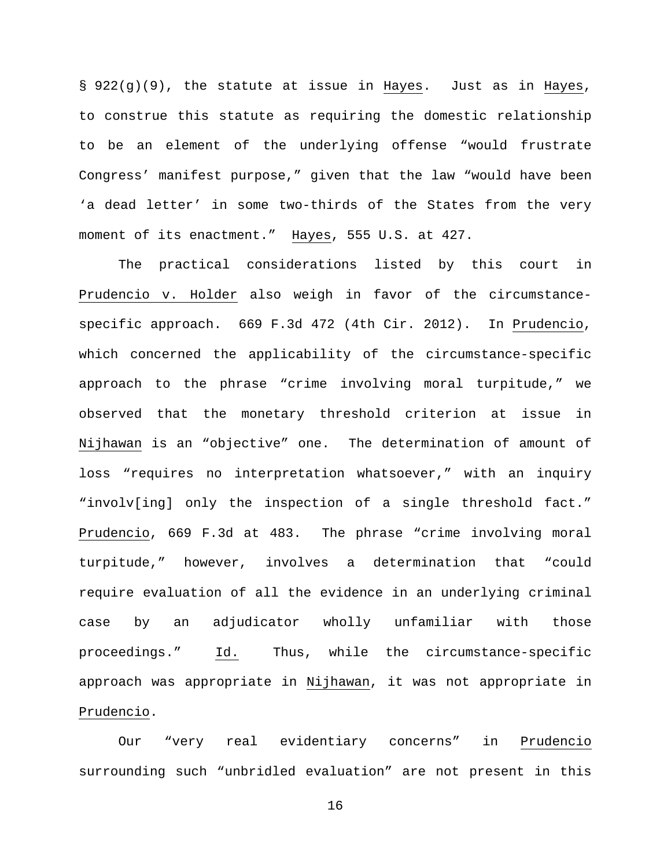§ 922(g)(9), the statute at issue in Hayes. Just as in Hayes, to construe this statute as requiring the domestic relationship to be an element of the underlying offense "would frustrate Congress' manifest purpose," given that the law "would have been 'a dead letter' in some two-thirds of the States from the very moment of its enactment." Hayes, 555 U.S. at 427.

The practical considerations listed by this court in Prudencio v. Holder also weigh in favor of the circumstancespecific approach. 669 F.3d 472 (4th Cir. 2012). In Prudencio, which concerned the applicability of the circumstance-specific approach to the phrase "crime involving moral turpitude," we observed that the monetary threshold criterion at issue in Nijhawan is an "objective" one. The determination of amount of loss "requires no interpretation whatsoever," with an inquiry "involv[ing] only the inspection of a single threshold fact." Prudencio, 669 F.3d at 483. The phrase "crime involving moral turpitude," however, involves a determination that "could require evaluation of all the evidence in an underlying criminal case by an adjudicator wholly unfamiliar with those proceedings." Id. Thus, while the circumstance-specific approach was appropriate in Nijhawan, it was not appropriate in Prudencio.

Our "very real evidentiary concerns" in Prudencio surrounding such "unbridled evaluation" are not present in this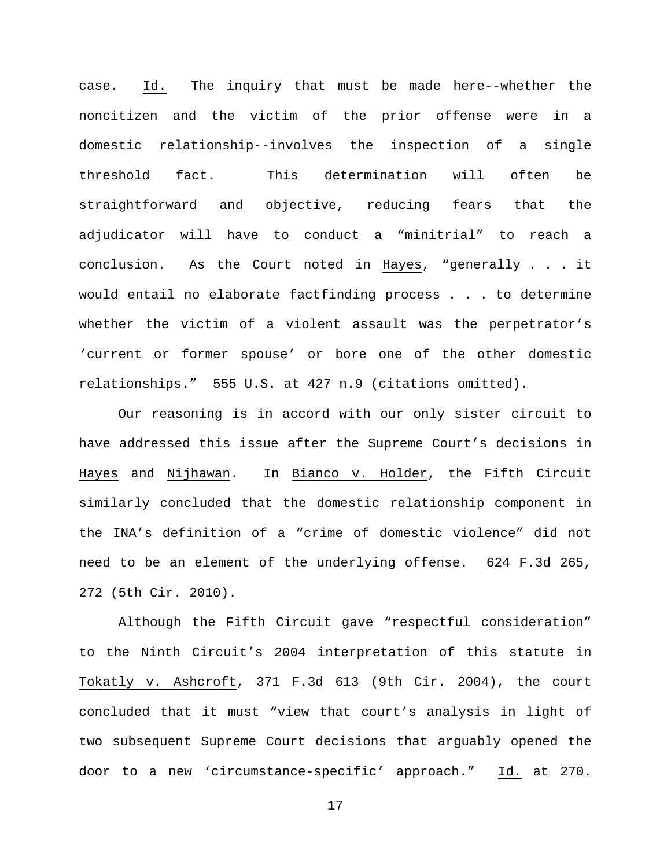case. Id. The inquiry that must be made here--whether the noncitizen and the victim of the prior offense were in a domestic relationship--involves the inspection of a single threshold fact. This determination will often be straightforward and objective, reducing fears that the adjudicator will have to conduct a "minitrial" to reach a conclusion. As the Court noted in Hayes, "generally . . . it would entail no elaborate factfinding process . . . to determine whether the victim of a violent assault was the perpetrator's 'current or former spouse' or bore one of the other domestic relationships." 555 U.S. at 427 n.9 (citations omitted).

Our reasoning is in accord with our only sister circuit to have addressed this issue after the Supreme Court's decisions in Hayes and Nijhawan. In Bianco v. Holder, the Fifth Circuit similarly concluded that the domestic relationship component in the INA's definition of a "crime of domestic violence" did not need to be an element of the underlying offense. 624 F.3d 265, 272 (5th Cir. 2010).

Although the Fifth Circuit gave "respectful consideration" to the Ninth Circuit's 2004 interpretation of this statute in Tokatly v. Ashcroft, 371 F.3d 613 (9th Cir. 2004), the court concluded that it must "view that court's analysis in light of two subsequent Supreme Court decisions that arguably opened the door to a new 'circumstance-specific' approach." Id. at 270.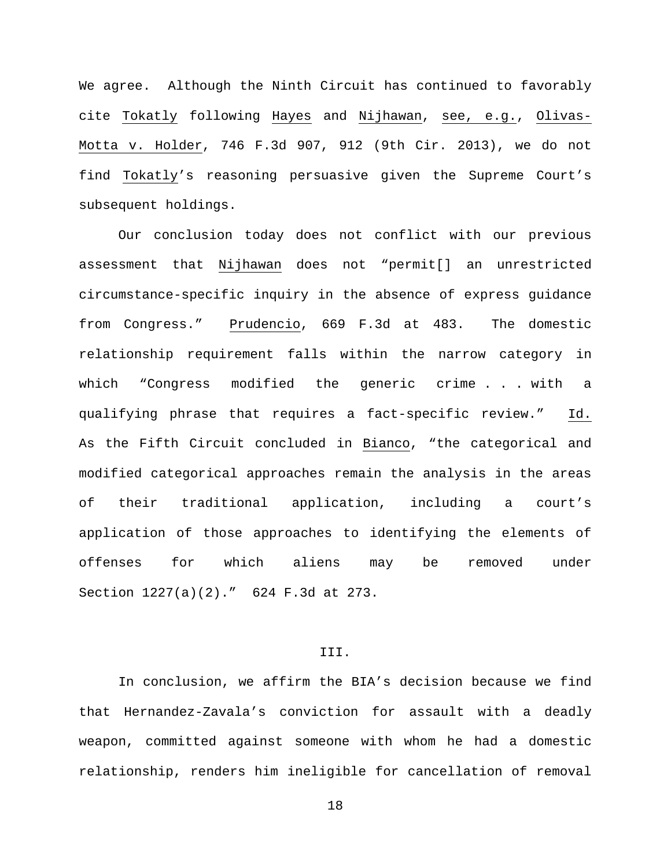We agree. Although the Ninth Circuit has continued to favorably cite Tokatly following Hayes and Nijhawan, see, e.g., Olivas-Motta v. Holder, 746 F.3d 907, 912 (9th Cir. 2013), we do not find Tokatly's reasoning persuasive given the Supreme Court's subsequent holdings.

Our conclusion today does not conflict with our previous assessment that Nijhawan does not "permit[] an unrestricted circumstance-specific inquiry in the absence of express guidance from Congress." Prudencio, 669 F.3d at 483. The domestic relationship requirement falls within the narrow category in which "Congress modified the generic crime... with a qualifying phrase that requires a fact-specific review." Id. As the Fifth Circuit concluded in Bianco, "the categorical and modified categorical approaches remain the analysis in the areas of their traditional application, including a court's application of those approaches to identifying the elements of offenses for which aliens may be removed under Section 1227(a)(2)." 624 F.3d at 273.

## III.

In conclusion, we affirm the BIA's decision because we find that Hernandez-Zavala's conviction for assault with a deadly weapon, committed against someone with whom he had a domestic relationship, renders him ineligible for cancellation of removal